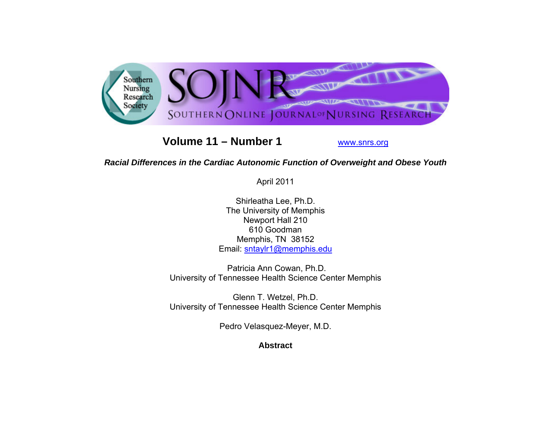

# **Volume 11 – Number 1**

www.snrs.org

# *Racial Differences in the Cardiac Autonomic Function of Overweight and Obese Youth*

April 2011

Shirleatha Lee, Ph.D. The University of Memphis Newport Hall 210 610 Goodman Memphis, TN 38152 Email: sntaylr1@memphis.edu

 Patricia Ann Cowan, Ph.D. University of Tennessee Health Science Center Memphis

Glenn T. Wetzel, Ph.D. University of Tennessee Health Science Center Memphis

Pedro Velasquez-Meyer, M.D.

**Abstract**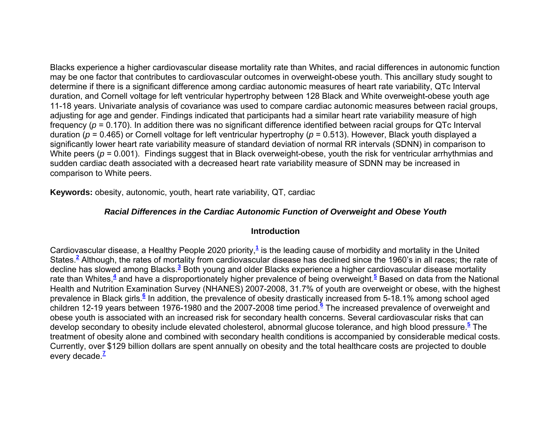Blacks experience a higher cardiovascular disease mortality rate than Whites, and racial differences in autonomic function may be one factor that contributes to cardiovascular outcomes in overweight-obese youth. This ancillary study sought to determine if there is a significant difference among cardiac autonomic measures of heart rate variability, QTc Interval duration, and Cornell voltage for left ventricular hypertrophy between 128 Black and White overweight-obese youth age 11-18 years. Univariate analysis of covariance was used to compare cardiac autonomic measures between racial groups, adjusting for age and gender. Findings indicated that participants had a similar heart rate variability measure of high frequency (*p* = 0.170). In addition there was no significant difference identified between racial groups for QTc Interval duration (*p* = 0.465) or Cornell voltage for left ventricular hypertrophy (*p* = 0.513). However, Black youth displayed a significantly lower heart rate variability measure of standard deviation of normal RR intervals (SDNN) in comparison to White peers ( $p = 0.001$ ). Findings suggest that in Black overweight-obese, youth the risk for ventricular arrhythmias and sudden cardiac death associated with a decreased heart rate variability measure of SDNN may be increased in comparison to White peers.

**Keywords:** obesity, autonomic, youth, heart rate variability, QT, cardiac

# *Racial Differences in the Cardiac Autonomic Function of Overweight and Obese Youth*

## **Introduction**

Cardiovascular disease, a Healthy People 2020 priority,**<sup>1</sup>** is the leading cause of morbidity and mortality in the United States.**<sup>2</sup>** Although, the rates of mortality from cardiovascular disease has declined since the 1960's in all races; the rate of decline has slowed among Blacks.**<sup>3</sup>** Both young and older Blacks experience a higher cardiovascular disease mortality rate than Whites,**<sup>4</sup>** and have a disproportionately higher prevalence of being overweight.**<sup>5</sup>** Based on data from the National Health and Nutrition Examination Survey (NHANES) 2007-2008, 31.7% of youth are overweight or obese, with the highest prevalence in Black girls.**<sup>6</sup>** In addition, the prevalence of obesity drastically increased from 5-18.1% among school aged children 12-19 years between 1976-1980 and the 2007-2008 time period.**<sup>6</sup>** The increased prevalence of overweight and obese youth is associated with an increased risk for secondary health concerns. Several cardiovascular risks that can develop secondary to obesity include elevated cholesterol, abnormal glucose tolerance, and high blood pressure.**<sup>5</sup>** The treatment of obesity alone and combined with secondary health conditions is accompanied by considerable medical costs. Currently, over \$129 billion dollars are spent annually on obesity and the total healthcare costs are projected to double every decade.**<sup>7</sup>**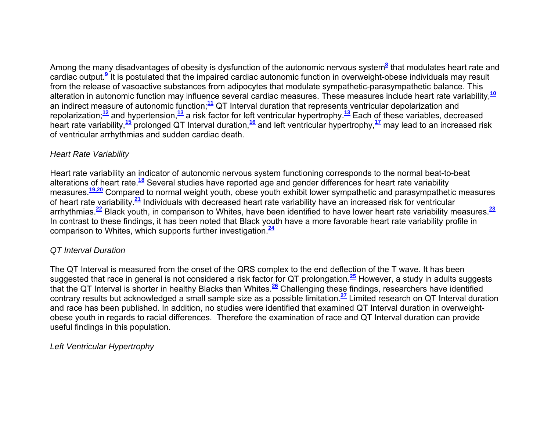Among the many disadvantages of obesity is dysfunction of the autonomic nervous system<sup>8</sup> that modulates heart rate and cardiac output.**<sup>9</sup>** It is postulated that the impaired cardiac autonomic function in overweight-obese individuals may result from the release of vasoactive substances from adipocytes that modulate sympathetic-parasympathetic balance. This alteration in autonomic function may influence several cardiac measures. These measures include heart rate variability,**<sup>10</sup>** an indirect measure of autonomic function;**<sup>11</sup>** QT Interval duration that represents ventricular depolarization and repolarization;**<sup>12</sup>** and hypertension,**<sup>13</sup>** a risk factor for left ventricular hypertrophy.**<sup>13</sup>** Each of these variables, decreased heart rate variability,**<sup>15</sup>** prolonged QT Interval duration,**<sup>16</sup>** and left ventricular hypertrophy,**<sup>17</sup>** may lead to an increased risk of ventricular arrhythmias and sudden cardiac death.

## *Heart Rate Variability*

Heart rate variability an indicator of autonomic nervous system functioning corresponds to the normal beat-to-beat alterations of heart rate.**<sup>18</sup>** Several studies have reported age and gender differences for heart rate variability measures.**19,20** Compared to normal weight youth, obese youth exhibit lower sympathetic and parasympathetic measures of heart rate variability.**<sup>21</sup>** Individuals with decreased heart rate variability have an increased risk for ventricular arrhythmias.**<sup>22</sup>** Black youth, in comparison to Whites, have been identified to have lower heart rate variability measures.**<sup>23</sup>** In contrast to these findings, it has been noted that Black youth have a more favorable heart rate variability profile in comparison to Whites, which supports further investigation.**<sup>24</sup>**

## *QT Interval Duration*

The QT Interval is measured from the onset of the QRS complex to the end deflection of the T wave. It has been suggested that race in general is not considered a risk factor for QT prolongation.**<sup>25</sup>** However, a study in adults suggests that the QT Interval is shorter in healthy Blacks than Whites.**<sup>26</sup>** Challenging these findings, researchers have identified contrary results but acknowledged a small sample size as a possible limitation.**<sup>27</sup>** Limited research on QT Interval duration and race has been published. In addition, no studies were identified that examined QT Interval duration in overweightobese youth in regards to racial differences. Therefore the examination of race and QT Interval duration can provide useful findings in this population.

*Left Ventricular Hypertrophy*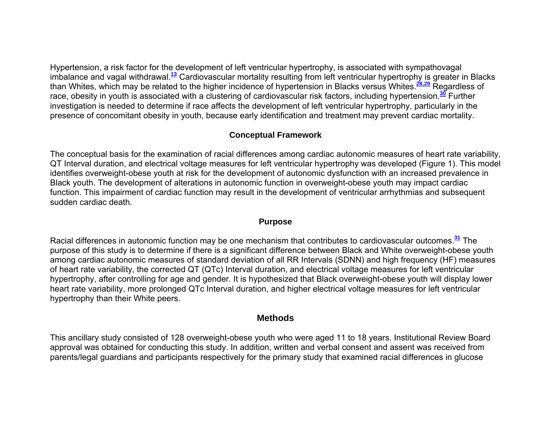Hypertension, a risk factor for the development of left ventricular hypertrophy, is associated with sympathovagal imbalance and vagal withdrawal.**<sup>13</sup>** Cardiovascular mortality resulting from left ventricular hypertrophy is greater in Blacks than Whites, which may be related to the higher incidence of hypertension in Blacks versus Whites.**28,29** Regardless of race, obesity in youth is associated with a clustering of cardiovascular risk factors, including hypertension.**<sup>30</sup>** Further investigation is needed to determine if race affects the development of left ventricular hypertrophy, particularly in the presence of concomitant obesity in youth, because early identification and treatment may prevent cardiac mortality.

## **Conceptual Framework**

The conceptual basis for the examination of racial differences among cardiac autonomic measures of heart rate variability, QT Interval duration, and electrical voltage measures for left ventricular hypertrophy was developed (Figure 1). This model identifies overweight-obese youth at risk for the development of autonomic dysfunction with an increased prevalence in Black youth. The development of alterations in autonomic function in overweight-obese youth may impact cardiac function. This impairment of cardiac function may result in the development of ventricular arrhythmias and subsequent sudden cardiac death.

### **Purpose**

Racial differences in autonomic function may be one mechanism that contributes to cardiovascular outcomes.**<sup>31</sup>** The purpose of this study is to determine if there is a significant difference between Black and White overweight-obese youth among cardiac autonomic measures of standard deviation of all RR Intervals (SDNN) and high frequency (HF) measures of heart rate variability, the corrected QT (QTc) Interval duration, and electrical voltage measures for left ventricular hypertrophy, after controlling for age and gender. It is hypothesized that Black overweight-obese youth will display lower heart rate variability, more prolonged QTc Interval duration, and higher electrical voltage measures for left ventricular hypertrophy than their White peers.

# **Methods**

This ancillary study consisted of 128 overweight-obese youth who were aged 11 to 18 years. Institutional Review Board approval was obtained for conducting this study. In addition, written and verbal consent and assent was received from parents/legal guardians and participants respectively for the primary study that examined racial differences in glucose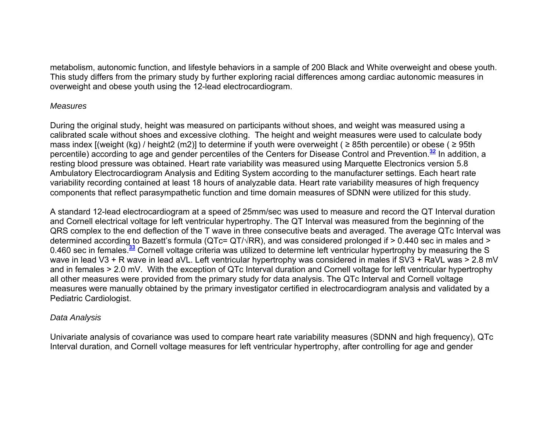metabolism, autonomic function, and lifestyle behaviors in a sample of 200 Black and White overweight and obese youth. This study differs from the primary study by further exploring racial differences among cardiac autonomic measures in overweight and obese youth using the 12-lead electrocardiogram.

### *Measures*

During the original study, height was measured on participants without shoes, and weight was measured using a calibrated scale without shoes and excessive clothing. The height and weight measures were used to calculate body mass index  $[$ (weight (kg) / height2 (m2)] to determine if youth were overweight ( $\geq$  85th percentile) or obese ( $\geq$  95th percentile) according to age and gender percentiles of the Centers for Disease Control and Prevention.**<sup>32</sup>** In addition, a resting blood pressure was obtained. Heart rate variability was measured using Marquette Electronics version 5.8 Ambulatory Electrocardiogram Analysis and Editing System according to the manufacturer settings. Each heart rate variability recording contained at least 18 hours of analyzable data. Heart rate variability measures of high frequency components that reflect parasympathetic function and time domain measures of SDNN were utilized for this study.

A standard 12-lead electrocardiogram at a speed of 25mm/sec was used to measure and record the QT Interval duration and Cornell electrical voltage for left ventricular hypertrophy. The QT Interval was measured from the beginning of the QRS complex to the end deflection of the T wave in three consecutive beats and averaged. The average QTc Interval was determined according to Bazett's formula (QTc= QT/√RR), and was considered prolonged if > 0.440 sec in males and > 0.460 sec in females.**<sup>33</sup>** Cornell voltage criteria was utilized to determine left ventricular hypertrophy by measuring the S wave in lead V3 + R wave in lead aVL. Left ventricular hypertrophy was considered in males if SV3 + RaVL was > 2.8 mV and in females > 2.0 mV. With the exception of QTc Interval duration and Cornell voltage for left ventricular hypertrophy all other measures were provided from the primary study for data analysis. The QTc Interval and Cornell voltage measures were manually obtained by the primary investigator certified in electrocardiogram analysis and validated by a Pediatric Cardiologist.

# *Data Analysis*

Univariate analysis of covariance was used to compare heart rate variability measures (SDNN and high frequency), QTc Interval duration, and Cornell voltage measures for left ventricular hypertrophy, after controlling for age and gender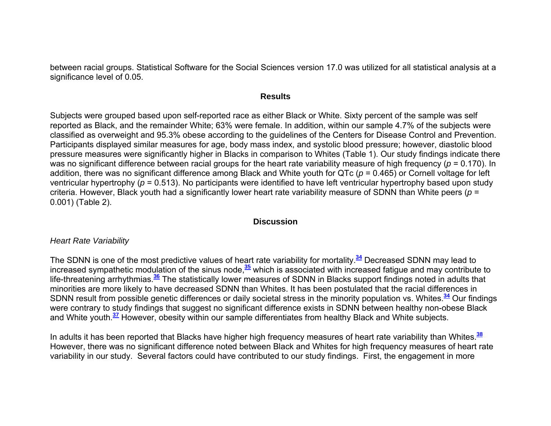between racial groups. Statistical Software for the Social Sciences version 17.0 was utilized for all statistical analysis at a significance level of 0.05.

#### **Results**

Subjects were grouped based upon self-reported race as either Black or White. Sixty percent of the sample was self reported as Black, and the remainder White; 63% were female. In addition, within our sample 4.7% of the subjects were classified as overweight and 95.3% obese according to the guidelines of the Centers for Disease Control and Prevention. Participants displayed similar measures for age, body mass index, and systolic blood pressure; however, diastolic blood pressure measures were significantly higher in Blacks in comparison to Whites (Table 1). Our study findings indicate there was no significant difference between racial groups for the heart rate variability measure of high frequency ( *p* = 0.170). In addition, there was no significant difference among Black and White youth for QTc ( *p* = 0.465) or Cornell voltage for left ventricular hypertrophy ( *p* = 0.513). No participants were identified to have left ventricular hypertrophy based upon study criteria. However, Black youth had a significantly lower heart rate variability measure of SDNN than White peers ( *p* <sup>=</sup> 0.001) (Table 2).

#### **Discussion**

#### *Heart Rate Variability*

The SDNN is one of the most predictive values of heart rate variability for mortality.**<sup>34</sup>** Decreased SDNN may lead to increased sympathetic modulation of the sinus node,**<sup>35</sup>** which is associated with increased fatigue and may contribute to life-threatening arrhythmias.**<sup>36</sup>** The statistically lower measures of SDNN in Blacks support findings noted in adults that minorities are more likely to have decreased SDNN than Whites. It has been postulated that the racial differences in SDNN result from possible genetic differences or daily societal stress in the minority population vs. Whites.**<sup>34</sup>** Our findings were contrary to study findings that suggest no significant difference exists in SDNN between healthy non-obese Black and White youth.**<sup>37</sup>** However, obesity within our sample differentiates from healthy Black and White subjects.

In adults it has been reported that Blacks have higher high frequency measures of heart rate variability than Whites.**<sup>38</sup>** However, there was no significant difference noted between Black and Whites for high frequency measures of heart rate variability in our study. Several factors could have contributed to our study findings. First, the engagement in more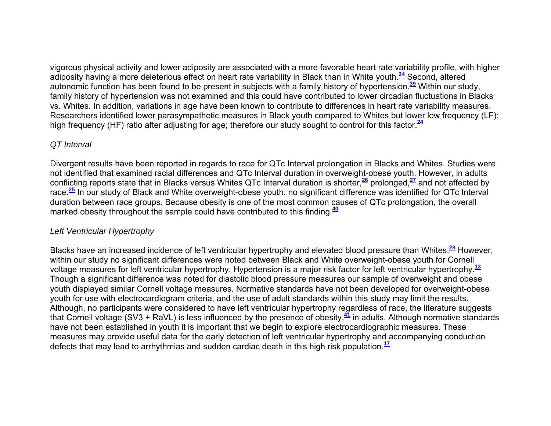vigorous physical activity and lower adiposity are associated with a more favorable heart rate variability profile, with higher adiposity having a more deleterious effect on heart rate variability in Black than in White youth.**<sup>24</sup>** Second, altered autonomic function has been found to be present in subjects with a family history of hypertension.**<sup>39</sup>** Within our study, family history of hypertension was not examined and this could have contributed to lower circadian fluctuations in Blacks vs. Whites. In addition, variations in age have been known to contribute to differences in heart rate variability measures. Researchers identified lower parasympathetic measures in Black youth compared to Whites but lower low frequency (LF): high frequency (HF) ratio after adjusting for age; therefore our study sought to control for this factor.**<sup>24</sup>**

### *QT Interval*

Divergent results have been reported in regards to race for QTc Interval prolongation in Blacks and Whites. Studies were not identified that examined racial differences and QTc Interval duration in overweight-obese youth. However, in adults conflicting reports state that in Blacks versus Whites QTc Interval duration is shorter,**<sup>26</sup>** prolonged,**<sup>27</sup>** and not affected by race.**<sup>25</sup>** In our study of Black and White overweight-obese youth, no significant difference was identified for QTc Interval duration between race groups. Because obesity is one of the most common causes of QTc prolongation, the overall marked obesity throughout the sample could have contributed to this finding.**<sup>40</sup>**

## *Left Ventricular Hypertrophy*

Blacks have an increased incidence of left ventricular hypertrophy and elevated blood pressure than Whites.**<sup>28</sup>** However, within our study no significant differences were noted between Black and White overweight-obese youth for Cornell voltage measures for left ventricular hypertrophy. Hypertension is a major risk factor for left ventricular hypertrophy.**<sup>13</sup>** Though a significant difference was noted for diastolic blood pressure measures our sample of overweight and obese youth displayed similar Cornell voltage measures. Normative standards have not been developed for overweight-obese youth for use with electrocardiogram criteria, and the use of adult standards within this study may limit the results. Although, no participants were considered to have left ventricular hypertrophy regardless of race, the literature suggests that Cornell voltage (SV3 + RaVL) is less influenced by the presence of obesity,**<sup>41</sup>** in adults. Although normative standards have not been established in youth it is important that we begin to explore electrocardiographic measures. These measures may provide useful data for the early detection of left ventricular hypertrophy and accompanying conduction defects that may lead to arrhythmias and sudden cardiac death in this high risk population.**<sup>17</sup>**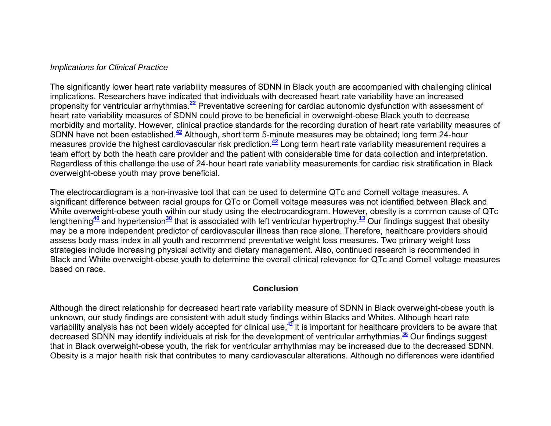#### *Implications for Clinical Practice*

The significantly lower heart rate variability measures of SDNN in Black youth are accompanied with challenging clinical implications. Researchers have indicated that individuals with decreased heart rate variability have an increased propensity for ventricular arrhythmias.**<sup>22</sup>** Preventative screening for cardiac autonomic dysfunction with assessment of heart rate variability measures of SDNN could prove to be beneficial in overweight-obese Black youth to decrease morbidity and mortality. However, clinical practice standards for the recording duration of heart rate variability measures of SDNN have not been established.**<sup>42</sup>** Although, short term 5-minute measures may be obtained; long term 24-hour measures provide the highest cardiovascular risk prediction.**<sup>42</sup>** Long term heart rate variability measurement requires a team effort by both the heath care provider and the patient with considerable time for data collection and interpretation. Regardless of this challenge the use of 24-hour heart rate variability measurements for cardiac risk stratification in Black overweight-obese youth may prove beneficial.

The electrocardiogram is a non-invasive tool that can be used to determine QTc and Cornell voltage measures. A significant difference between racial groups for QTc or Cornell voltage measures was not identified between Black and White overweight-obese youth within our study using the electrocardiogram. However, obesity is a common cause of QTc lengthening**<sup>40</sup>** and hypertension**<sup>30</sup>** that is associated with left ventricular hypertrophy.**<sup>13</sup>** Our findings suggest that obesity may be a more independent predictor of cardiovascular illness than race alone. Therefore, healthcare providers should assess body mass index in all youth and recommend preventative weight loss measures. Two primary weight loss strategies include increasing physical activity and dietary management. Also, continued research is recommended in Black and White overweight-obese youth to determine the overall clinical relevance for QTc and Cornell voltage measures based on race.

### **Conclusion**

Although the direct relationship for decreased heart rate variability measure of SDNN in Black overweight-obese youth is unknown, our study findings are consistent with adult study findings within Blacks and Whites. Although heart rate variability analysis has not been widely accepted for clinical use,**<sup>42</sup>** it is important for healthcare providers to be aware that decreased SDNN may identify individuals at risk for the development of ventricular arrhythmias.**<sup>36</sup>** Our findings suggest that in Black overweight-obese youth, the risk for ventricular arrhythmias may be increased due to the decreased SDNN. Obesity is a major health risk that contributes to many cardiovascular alterations. Although no differences were identified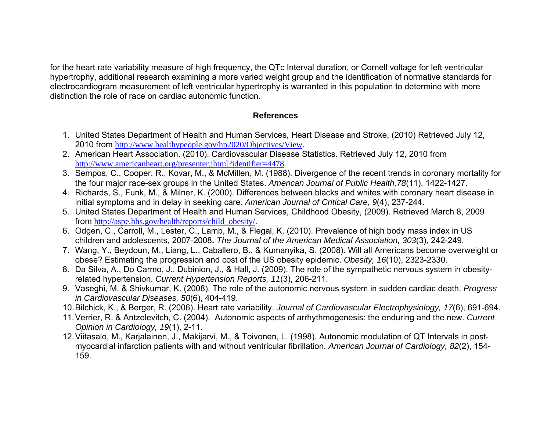for the heart rate variability measure of high frequency, the QTc Interval duration, or Cornell voltage for left ventricular hypertrophy, additional research examining a more varied weight group and the identification of normative standards for electrocardiogram measurement of left ventricular hypertrophy is warranted in this population to determine with more distinction the role of race on cardiac autonomic function.

## **References**

- 1. United States Department of Health and Human Services, Heart Disease and Stroke, (2010) Retrieved July 12, 2010 from http://www.healthypeople.gov/hp2020/Objectives/View.
- 2. American Heart Association. (2010). Cardiovascular Disease Statistics. Retrieved July 12, 2010 from http://www.americanheart.org/presenter.jhtml?identifier=4478.
- 3. Sempos, C., Cooper, R., Kovar, M., & McMillen, M. (1988). Divergence of the recent trends in coronary mortality for the four major race-sex groups in the United States. *American Journal of Public Health,78*(11), 1422-1427.
- 4. Richards, S., Funk, M., & Milner, K. (2000). Differences between blacks and whites with coronary heart disease in initial symptoms and in delay in seeking care. *American Journal of Critical Care, 9*(4), 237-244.
- 5. United States Department of Health and Human Services, Childhood Obesity, (2009). Retrieved March 8, 2009 from http://aspe.hhs.gov/health/reports/child\_obesity/.
- 6. Odgen, C., Carroll, M., Lester, C., Lamb, M., & Flegal, K. (2010). Prevalence of high body mass index in US children and adolescents, 2007-2008**.** *The Journal of the American Medical Association, 303*(3), 242-249.
- 7. Wang, Y., Beydoun, M., Liang, L., Caballero, B., & Kumanyika, S. (2008). Will all Americans become overweight or obese? Estimating the progression and cost of the US obesity epidemic. *Obesity, 16*(10), 2323-2330.
- 8. Da Silva, A., Do Carmo, J., Dubinion, J., & Hall, J. (2009). The role of the sympathetic nervous system in obesityrelated hypertension. *Current Hypertension Reports, 11*(3), 206-211.
- 9. Vaseghi, M. & Shivkumar, K. (2008). The role of the autonomic nervous system in sudden cardiac death. *Progress in Cardiovascular Diseases, 50*(6), 404-419.
- 10. Bilchick, K., & Berger, R. (2006). Heart rate variability. *Journal of Cardiovascular Electrophysiology, 17*(6), 691-694.
- 11. Verrier, R. & Antzelevitch, C. (2004). Autonomic aspects of arrhythmogenesis: the enduring and the new. *Current Opinion in Cardiology, 19*(1), 2-11.
- 12. Viitasalo, M., Karjalainen, J., Makijarvi, M., & Toivonen, L. (1998). Autonomic modulation of QT Intervals in postmyocardial infarction patients with and without ventricular fibrillation. *American Journal of Cardiology, 82*(2), 154- 159.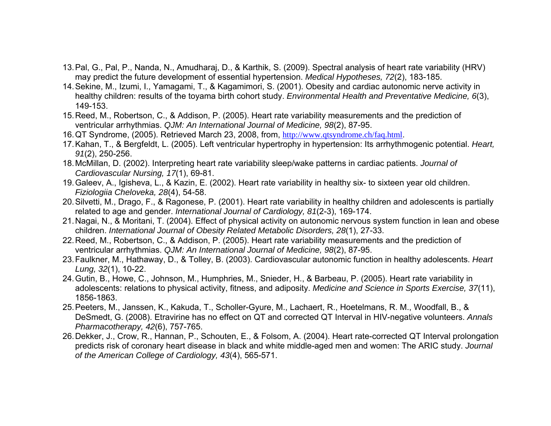- 13. Pal, G., Pal, P., Nanda, N., Amudharaj, D., & Karthik, S. (2009). Spectral analysis of heart rate variability (HRV) may predict the future development of essential hypertension. *Medical Hypotheses, 72*(2), 183-185.
- 14. Sekine, M., Izumi, I., Yamagami, T., & Kagamimori, S. (2001). Obesity and cardiac autonomic nerve activity in healthy children: results of the toyama birth cohort study. *Environmental Health and Preventative Medicine, 6*(3), 149-153.
- 15. Reed, M., Robertson, C., & Addison, P. (2005). Heart rate variability measurements and the prediction of ventricular arrhythmias. *QJM: An International Journal of Medicine, 98*(2), 87-95.
- 16. QT Syndrome, (2005). Retrieved March 23, 2008, from, http://www.qtsyndrome.ch/faq.html.
- 17. Kahan, T., & Bergfeldt, L. (2005). Left ventricular hypertrophy in hypertension: Its arrhythmogenic potential. *Heart, 91*(2), 250-256.
- 18. McMillan, D. (2002). Interpreting heart rate variability sleep/wake patterns in cardiac patients. *Journal of Cardiovascular Nursing, 17*(1), 69-81.
- 19. Galeev, A., Igisheva, L., & Kazin, E. (2002). Heart rate variability in healthy six- to sixteen year old children. *Fiziologiia Cheloveka, 28*(4), 54-58.
- 20. Silvetti, M., Drago, F., & Ragonese, P. (2001). Heart rate variability in healthy children and adolescents is partially related to age and gender. *International Journal of Cardiology, 81*(2-3), 169-174.
- 21. Nagai, N., & Moritani, T. (2004). Effect of physical activity on autonomic nervous system function in lean and obese children. *International Journal of Obesity Related Metabolic Disorders, 28*(1), 27-33.
- 22. Reed, M., Robertson, C., & Addison, P. (2005). Heart rate variability measurements and the prediction of ventricular arrhythmias. *QJM: An International Journal of Medicine, 98*(2), 87-95.
- 23. Faulkner, M., Hathaway, D., & Tolley, B. (2003). Cardiovascular autonomic function in healthy adolescents. *Heart Lung, 32*(1), 10-22.
- 24. Gutin, B., Howe, C., Johnson, M., Humphries, M., Snieder, H., & Barbeau, P. (2005). Heart rate variability in adolescents: relations to physical activity, fitness, and adiposity. *Medicine and Science in Sports Exercise, 37*(11), 1856-1863.
- 25. Peeters, M., Janssen, K., Kakuda, T., Scholler-Gyure, M., Lachaert, R., Hoetelmans, R. M., Woodfall, B., & DeSmedt, G. (2008). Etravirine has no effect on QT and corrected QT Interval in HIV-negative volunteers. *Annals Pharmacotherapy, 42*(6), 757-765.
- 26. Dekker, J., Crow, R., Hannan, P., Schouten, E., & Folsom, A. (2004). Heart rate-corrected QT Interval prolongation predicts risk of coronary heart disease in black and white middle-aged men and women: The ARIC study. *Journal of the American College of Cardiology, 43*(4), 565-571.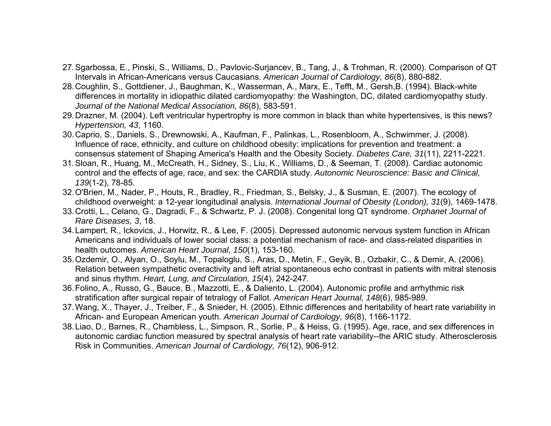- 27. Sgarbossa, E., Pinski, S., Williams, D., Pavlovic-Surjancev, B., Tang, J., & Trohman, R. (2000). Comparison of QT Intervals in African-Americans versus Caucasians. *American Journal of Cardiology, 86*(8), 880-882.
- 28. Coughlin, S., Gottdiener, J., Baughman, K., Wasserman, A., Marx, E., Tefft, M., Gersh,B. (1994). Black-white differences in mortality in idiopathic dilated cardiomyopathy: the Washington, DC, dilated cardiomyopathy study. *Journal of the National Medical Association, 86*(8), 583-591.
- 29. Drazner, M. (2004). Left ventricular hypertrophy is more common in black than white hypertensives, is this news? *Hypertension, 43*, 1160.
- 30. Caprio, S., Daniels, S., Drewnowski, A., Kaufman, F., Palinkas, L., Rosenbloom, A., Schwimmer, J. (2008). Influence of race, ethnicity, and culture on childhood obesity: implications for prevention and treatment: a consensus statement of Shaping America's Health and the Obesity Society. *Diabetes Care, 31*(11), 2211-2221.
- 31. Sloan, R., Huang, M., McCreath, H., Sidney, S., Liu, K., Williams, D., & Seeman, T. (2008). Cardiac autonomic control and the effects of age, race, and sex: the CARDIA study. *Autonomic Neuroscience: Basic and Clinical, 139*(1-2), 78-85.
- 32. O'Brien, M., Nader, P., Houts, R., Bradley, R., Friedman, S., Belsky, J., & Susman, E. (2007). The ecology of childhood overweight: a 12-year longitudinal analysis. *International Journal of Obesity (London), 31*(9), 1469-1478.
- 33. Crotti, L., Celano, G., Dagradi, F., & Schwartz, P. J. (2008). Congenital long QT syndrome. *Orphanet Journal of Rare Diseases, 3*, 18.
- 34. Lampert, R., Ickovics, J., Horwitz, R., & Lee, F. (2005). Depressed autonomic nervous system function in African Americans and individuals of lower social class: a potential mechanism of race- and class-related disparities in health outcomes. *American Heart Journal, 150*(1), 153-160.
- 35. Ozdemir, O., Alyan, O., Soylu, M., Topaloglu, S., Aras, D., Metin, F., Geyik, B., Ozbakir, C., & Demir, A. (2006). Relation between sympathetic overactivity and left atrial spontaneous echo contrast in patients with mitral stenosis and sinus rhythm. *Heart, Lung, and Circulation, 15*(4), 242-247.
- 36. Folino, A., Russo, G., Bauce, B., Mazzotti, E., & Daliento, L. (2004). Autonomic profile and arrhythmic risk stratification after surgical repair of tetralogy of Fallot. *American Heart Journal, 148*(6), 985-989.
- 37. Wang, X., Thayer, J., Treiber, F., & Snieder, H. (2005). Ethnic differences and heritability of heart rate variability in African- and European American youth. *American Journal of Cardiology, 96*(8), 1166-1172.
- 38. Liao, D., Barnes, R., Chambless, L., Simpson, R., Sorlie, P., & Heiss, G. (1995). Age, race, and sex differences in autonomic cardiac function measured by spectral analysis of heart rate variability--the ARIC study. Atherosclerosis Risk in Communities. *American Journal of Cardiology, 76*(12), 906-912.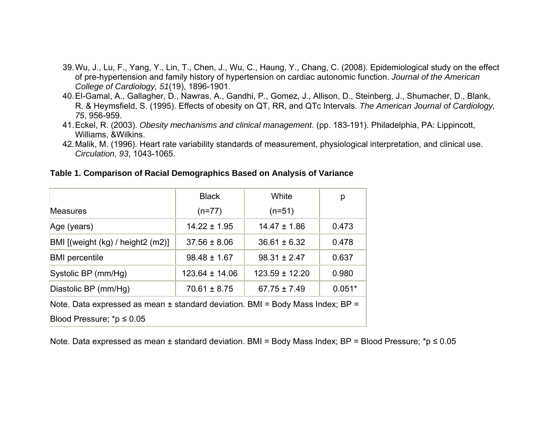- 39. Wu, J., Lu, F., Yang, Y., Lin, T., Chen, J., Wu, C., Haung, Y., Chang, C. (2008). Epidemiological study on the effect of pre-hypertension and family history of hypertension on cardiac autonomic function. *Journal of the American College of Cardiology, 51*(19), 1896-1901.
- 40. El-Gamal, A., Gallagher, D., Nawras, A., Gandhi, P., Gomez, J., Allison, D., Steinberg, J., Shumacher, D., Blank, R. & Heymsfield, S. (1995). Effects of obesity on QT, RR, and QTc Intervals. *The American Journal of Cardiology, 75*, 956-959.
- 41. Eckel, R. (2003). *Obesity mechanisms and clinical management*. (pp. 183-191). Philadelphia, PA: Lippincott, Williams, &Wilkins.
- 42. Malik, M. (1996). Heart rate variability standards of measurement, physiological interpretation, and clinical use. *Circulation, 93*, 1043-1065.

|                                                                                | <b>Black</b>     | White              | р        |  |  |
|--------------------------------------------------------------------------------|------------------|--------------------|----------|--|--|
| <b>Measures</b>                                                                | $(n=77)$         | $(n=51)$           |          |  |  |
| Age (years)                                                                    | $14.22 \pm 1.95$ | $14.47 \pm 1.86$   | 0.473    |  |  |
| BMI [(weight (kg) / height2 (m2)]                                              | $37.56 \pm 8.06$ | $36.61 \pm 6.32$   | 0.478    |  |  |
| <b>BMI</b> percentile                                                          | $98.48 \pm 1.67$ | $98.31 \pm 2.47$   | 0.637    |  |  |
| Systolic BP (mm/Hg)                                                            | 123.64 ± 14.06   | $123.59 \pm 12.20$ | 0.980    |  |  |
| Diastolic BP (mm/Hg)                                                           | $70.61 \pm 8.75$ | $67.75 \pm 7.49$   | $0.051*$ |  |  |
| Note. Data expressed as mean ± standard deviation. BMI = Body Mass Index; BP = |                  |                    |          |  |  |
| Blood Pressure; *p $\leq 0.05$                                                 |                  |                    |          |  |  |

#### **Table 1. Comparison of Racial Demographics Based on Analysis of Variance**

Note. Data expressed as mean ± standard deviation. BMI = Body Mass Index; BP = Blood Pressure; \*p ≤ 0.05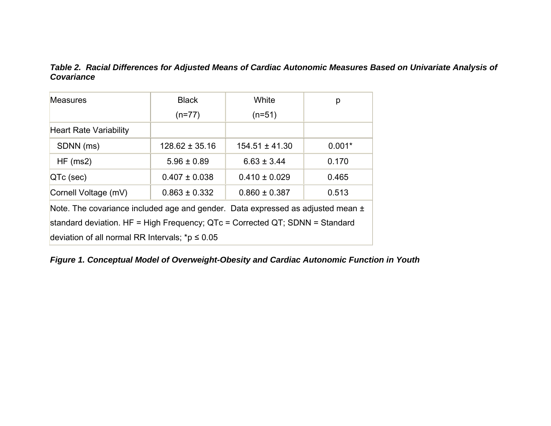### *Table 2. Racial Differences for Adjusted Means of Cardiac Autonomic Measures Based on Univariate Analysis of Covariance*

| <b>Measures</b>                                                                 | <b>Black</b>       | White              | р        |  |
|---------------------------------------------------------------------------------|--------------------|--------------------|----------|--|
|                                                                                 | $(n=77)$           | $(n=51)$           |          |  |
| <b>Heart Rate Variability</b>                                                   |                    |                    |          |  |
| SDNN (ms)                                                                       | $128.62 \pm 35.16$ | $154.51 \pm 41.30$ | $0.001*$ |  |
| HF(ms2)                                                                         | $5.96 \pm 0.89$    | $6.63 \pm 3.44$    | 0.170    |  |
| $QTc$ (sec)                                                                     | $0.407 \pm 0.038$  | $0.410 \pm 0.029$  | 0.465    |  |
| Cornell Voltage (mV)                                                            | $0.863 \pm 0.332$  | $0.860 \pm 0.387$  | 0.513    |  |
| Note. The covariance included age and gender. Data expressed as adjusted mean ± |                    |                    |          |  |
| standard deviation. HF = High Frequency; QTc = Corrected QT; SDNN = Standard    |                    |                    |          |  |
| deviation of all normal RR Intervals; $p \leq 0.05$                             |                    |                    |          |  |

*Figure 1. Conceptual Model of Overweight-Obesity and Cardiac Autonomic Function in Youth*